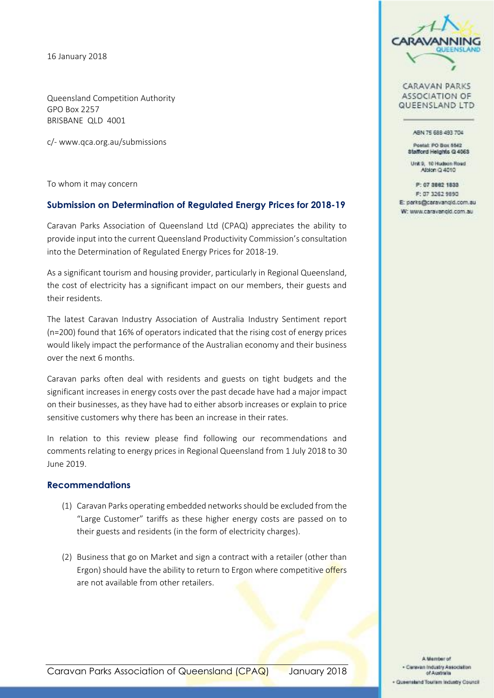16 January 2018

Queensland Competition Authority GPO Box 2257 BRISBANE QLD 4001

c/- www.qca.org.au/submissions

To whom it may concern

#### **Submission on Determination of Regulated Energy Prices for 2018-19**

Caravan Parks Association of Queensland Ltd (CPAQ) appreciates the ability to provide input into the current Queensland Productivity Commission's consultation into the Determination of Regulated Energy Prices for 2018-19.

As a significant tourism and housing provider, particularly in Regional Queensland, the cost of electricity has a significant impact on our members, their guests and their residents.

The latest Caravan Industry Association of Australia Industry Sentiment report (n=200) found that 16% of operators indicated that the rising cost of energy prices would likely impact the performance of the Australian economy and their business over the next 6 months.

Caravan parks often deal with residents and guests on tight budgets and the significant increases in energy costs over the past decade have had a major impact on their businesses, as they have had to either absorb increases or explain to price sensitive customers why there has been an increase in their rates.

In relation to this review please find following our recommendations and comments relating to energy prices in Regional Queensland from 1 July 2018 to 30 June 2019.

#### **Recommendations**

- (1) Caravan Parks operating embedded networks should be excluded from the "Large Customer" tariffs as these higher energy costs are passed on to their guests and residents (in the form of electricity charges).
- (2) Business that go on Market and sign a contract with a retailer (other than Ergon) should have the ability to return to Ergon where competitive offers are not available from other retailers.



**CARAVAN PARKS ASSOCIATION OF** QUEENSLAND LTD

ABN 75 688 493 704

Postal: PO Box 5542 Stafford Helphis Q 4063

Unit 9. 10 Hudson Road Alblon Q 4010

P: 07 3882 1833 F: 07 3262 9890 E: parks@caravangid.com.au W: www.caravangid.com.au

A Member of . Caravan Industry Association of Australia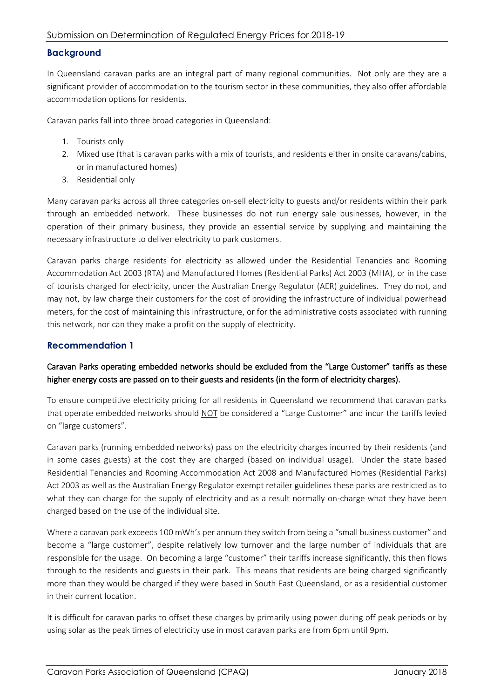### **Background**

In Queensland caravan parks are an integral part of many regional communities. Not only are they are a significant provider of accommodation to the tourism sector in these communities, they also offer affordable accommodation options for residents.

Caravan parks fall into three broad categories in Queensland:

- 1. Tourists only
- 2. Mixed use (that is caravan parks with a mix of tourists, and residents either in onsite caravans/cabins, or in manufactured homes)
- 3. Residential only

Many caravan parks across all three categories on-sell electricity to guests and/or residents within their park through an embedded network. These businesses do not run energy sale businesses, however, in the operation of their primary business, they provide an essential service by supplying and maintaining the necessary infrastructure to deliver electricity to park customers.

Caravan parks charge residents for electricity as allowed under the Residential Tenancies and Rooming Accommodation Act 2003 (RTA) and Manufactured Homes (Residential Parks) Act 2003 (MHA), or in the case of tourists charged for electricity, under the Australian Energy Regulator (AER) guidelines. They do not, and may not, by law charge their customers for the cost of providing the infrastructure of individual powerhead meters, for the cost of maintaining this infrastructure, or for the administrative costs associated with running this network, nor can they make a profit on the supply of electricity.

# **Recommendation 1**

# Caravan Parks operating embedded networks should be excluded from the "Large Customer" tariffs as these higher energy costs are passed on to their guests and residents (in the form of electricity charges).

To ensure competitive electricity pricing for all residents in Queensland we recommend that caravan parks that operate embedded networks should NOT be considered a "Large Customer" and incur the tariffs levied on "large customers".

Caravan parks (running embedded networks) pass on the electricity charges incurred by their residents (and in some cases guests) at the cost they are charged (based on individual usage). Under the state based Residential Tenancies and Rooming Accommodation Act 2008 and Manufactured Homes (Residential Parks) Act 2003 as well as the Australian Energy Regulator exempt retailer guidelines these parks are restricted as to what they can charge for the supply of electricity and as a result normally on-charge what they have been charged based on the use of the individual site.

Where a caravan park exceeds 100 mWh's per annum they switch from being a "small business customer" and become a "large customer", despite relatively low turnover and the large number of individuals that are responsible for the usage. On becoming a large "customer" their tariffs increase significantly, this then flows through to the residents and guests in their park. This means that residents are being charged significantly more than they would be charged if they were based in South East Queensland, or as a residential customer in their current location.

It is difficult for caravan parks to offset these charges by primarily using power during off peak periods or by using solar as the peak times of electricity use in most caravan parks are from 6pm until 9pm.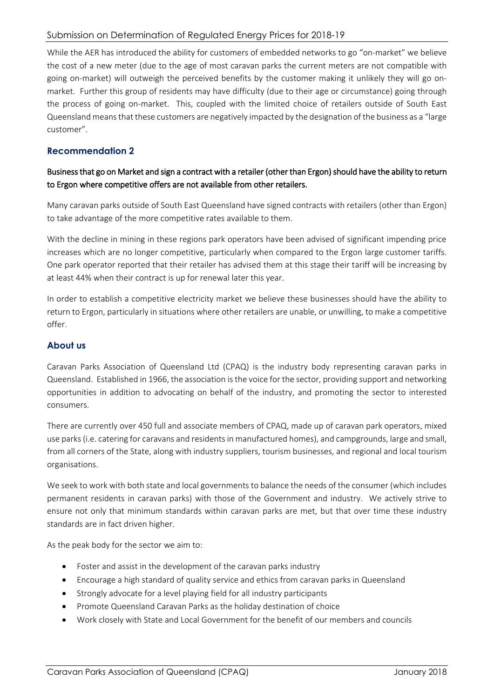## Submission on Determination of Regulated Energy Prices for 2018-19

While the AER has introduced the ability for customers of embedded networks to go "on-market" we believe the cost of a new meter (due to the age of most caravan parks the current meters are not compatible with going on-market) will outweigh the perceived benefits by the customer making it unlikely they will go onmarket. Further this group of residents may have difficulty (due to their age or circumstance) going through the process of going on-market. This, coupled with the limited choice of retailers outside of South East Queensland means that these customers are negatively impacted by the designation of the business as a "large customer".

# **Recommendation 2**

# Business that go on Market and sign a contract with a retailer (other than Ergon) should have the ability to return to Ergon where competitive offers are not available from other retailers.

Many caravan parks outside of South East Queensland have signed contracts with retailers (other than Ergon) to take advantage of the more competitive rates available to them.

With the decline in mining in these regions park operators have been advised of significant impending price increases which are no longer competitive, particularly when compared to the Ergon large customer tariffs. One park operator reported that their retailer has advised them at this stage their tariff will be increasing by at least 44% when their contract is up for renewal later this year.

In order to establish a competitive electricity market we believe these businesses should have the ability to return to Ergon, particularly in situations where other retailers are unable, or unwilling, to make a competitive offer.

#### **About us**

Caravan Parks Association of Queensland Ltd (CPAQ) is the industry body representing caravan parks in Queensland. Established in 1966, the association is the voice for the sector, providing support and networking opportunities in addition to advocating on behalf of the industry, and promoting the sector to interested consumers.

There are currently over 450 full and associate members of CPAQ, made up of caravan park operators, mixed use parks (i.e. catering for caravans and residents in manufactured homes), and campgrounds, large and small, from all corners of the State, along with industry suppliers, tourism businesses, and regional and local tourism organisations.

We seek to work with both state and local governments to balance the needs of the consumer (which includes permanent residents in caravan parks) with those of the Government and industry. We actively strive to ensure not only that minimum standards within caravan parks are met, but that over time these industry standards are in fact driven higher.

As the peak body for the sector we aim to:

- Foster and assist in the development of the caravan parks industry
- Encourage a high standard of quality service and ethics from caravan parks in Queensland
- Strongly advocate for a level playing field for all industry participants
- Promote Queensland Caravan Parks as the holiday destination of choice
- Work closely with State and Local Government for the benefit of our members and councils